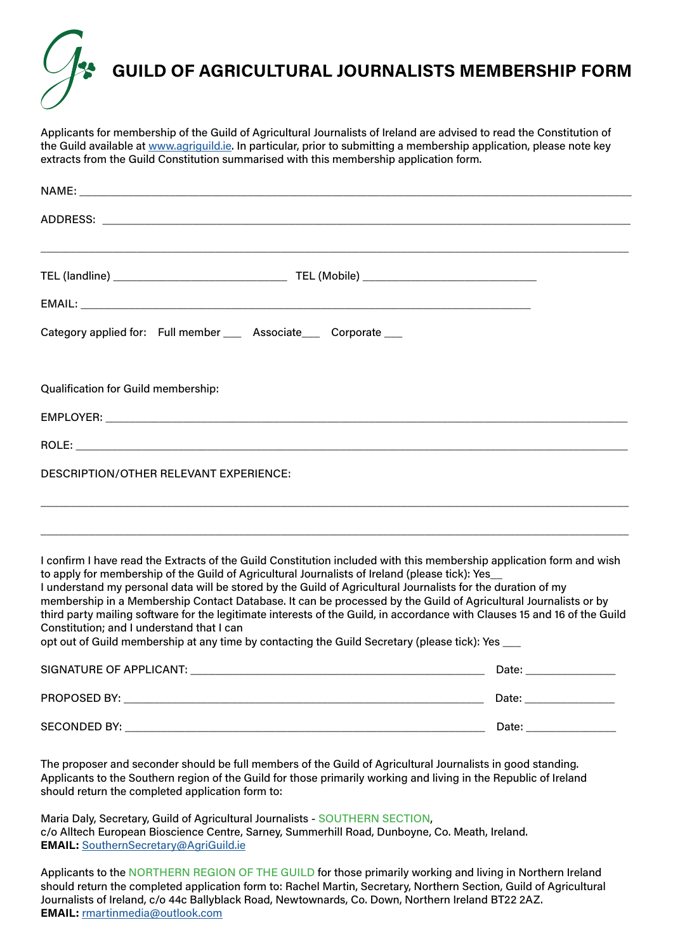

Applicants for membership of the Guild of Agricultural Journalists of Ireland are advised to read the Constitution of the Guild available at [www.agriguild.ie](http://www.agriguild.ie). In particular, prior to submitting a membership application, please note key extracts from the Guild Constitution summarised with this membership application form.

| Category applied for: Full member ___ Associate___ Corporate ___                                                                                                                                                                                                                                                                                                                                                                                                                                                                                                                                                                                                                                                                        |                         |
|-----------------------------------------------------------------------------------------------------------------------------------------------------------------------------------------------------------------------------------------------------------------------------------------------------------------------------------------------------------------------------------------------------------------------------------------------------------------------------------------------------------------------------------------------------------------------------------------------------------------------------------------------------------------------------------------------------------------------------------------|-------------------------|
| <b>Qualification for Guild membership:</b>                                                                                                                                                                                                                                                                                                                                                                                                                                                                                                                                                                                                                                                                                              |                         |
|                                                                                                                                                                                                                                                                                                                                                                                                                                                                                                                                                                                                                                                                                                                                         |                         |
|                                                                                                                                                                                                                                                                                                                                                                                                                                                                                                                                                                                                                                                                                                                                         |                         |
| <b>DESCRIPTION/OTHER RELEVANT EXPERIENCE:</b>                                                                                                                                                                                                                                                                                                                                                                                                                                                                                                                                                                                                                                                                                           |                         |
|                                                                                                                                                                                                                                                                                                                                                                                                                                                                                                                                                                                                                                                                                                                                         |                         |
| I confirm I have read the Extracts of the Guild Constitution included with this membership application form and wish<br>to apply for membership of the Guild of Agricultural Journalists of Ireland (please tick): Yes<br>I understand my personal data will be stored by the Guild of Agricultural Journalists for the duration of my<br>membership in a Membership Contact Database. It can be processed by the Guild of Agricultural Journalists or by<br>third party mailing software for the legitimate interests of the Guild, in accordance with Clauses 15 and 16 of the Guild<br>Constitution; and I understand that I can<br>opt out of Guild membership at any time by contacting the Guild Secretary (please tick): Yes ___ |                         |
|                                                                                                                                                                                                                                                                                                                                                                                                                                                                                                                                                                                                                                                                                                                                         | Date: _________________ |
|                                                                                                                                                                                                                                                                                                                                                                                                                                                                                                                                                                                                                                                                                                                                         | Date: ________________  |
|                                                                                                                                                                                                                                                                                                                                                                                                                                                                                                                                                                                                                                                                                                                                         | Date: _________________ |

The proposer and seconder should be full members of the Guild of Agricultural Journalists in good standing. Applicants to the Southern region of the Guild for those primarily working and living in the Republic of Ireland should return the completed application form to:

Maria Daly, Secretary, Guild of Agricultural Journalists - SOUTHERN SECTION, c/o Alltech European Bioscience Centre, Sarney, Summerhill Road, Dunboyne, Co. Meath, Ireland. **EMAIL:** [SouthernSecretary@AgriGuild.ie](mailto:SouthernSecretary%40AgriGuild.ie?subject=)

Applicants to the NORTHERN REGION OF THE GUILD for those primarily working and living in Northern Ireland should return the completed application form to: Rachel Martin, Secretary, Northern Section, Guild of Agricultural Journalists of Ireland, c/o 44c Ballyblack Road, Newtownards, Co. Down, Northern Ireland BT22 2AZ. **EMAIL:** [rmartinmedia@outlook.com](mailto:rmartinmedia%40outlook.com?subject=)